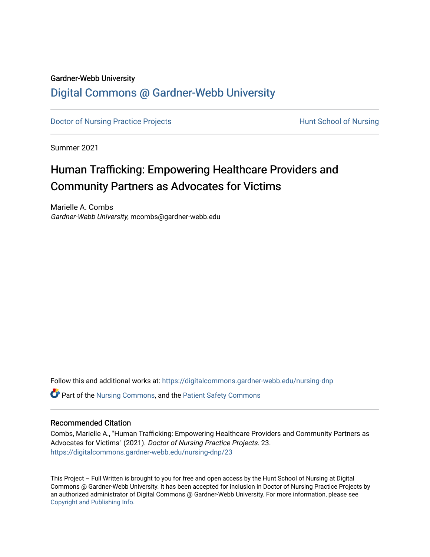#### Gardner-Webb University

## [Digital Commons @ Gardner-Webb University](https://digitalcommons.gardner-webb.edu/)

[Doctor of Nursing Practice Projects](https://digitalcommons.gardner-webb.edu/nursing-dnp) **Exercise Exercise Serverse Hunt School of Nursing** 

Summer 2021

# Human Trafficking: Empowering Healthcare Providers and Community Partners as Advocates for Victims

Marielle A. Combs Gardner-Webb University, mcombs@gardner-webb.edu

Follow this and additional works at: [https://digitalcommons.gardner-webb.edu/nursing-dnp](https://digitalcommons.gardner-webb.edu/nursing-dnp?utm_source=digitalcommons.gardner-webb.edu%2Fnursing-dnp%2F23&utm_medium=PDF&utm_campaign=PDFCoverPages) 

Part of the [Nursing Commons,](http://network.bepress.com/hgg/discipline/718?utm_source=digitalcommons.gardner-webb.edu%2Fnursing-dnp%2F23&utm_medium=PDF&utm_campaign=PDFCoverPages) and the [Patient Safety Commons](http://network.bepress.com/hgg/discipline/1410?utm_source=digitalcommons.gardner-webb.edu%2Fnursing-dnp%2F23&utm_medium=PDF&utm_campaign=PDFCoverPages)

#### Recommended Citation

Combs, Marielle A., "Human Trafficking: Empowering Healthcare Providers and Community Partners as Advocates for Victims" (2021). Doctor of Nursing Practice Projects. 23. [https://digitalcommons.gardner-webb.edu/nursing-dnp/23](https://digitalcommons.gardner-webb.edu/nursing-dnp/23?utm_source=digitalcommons.gardner-webb.edu%2Fnursing-dnp%2F23&utm_medium=PDF&utm_campaign=PDFCoverPages)

This Project – Full Written is brought to you for free and open access by the Hunt School of Nursing at Digital Commons @ Gardner-Webb University. It has been accepted for inclusion in Doctor of Nursing Practice Projects by an authorized administrator of Digital Commons @ Gardner-Webb University. For more information, please see [Copyright and Publishing Info.](https://digitalcommons.gardner-webb.edu/copyright_publishing.html)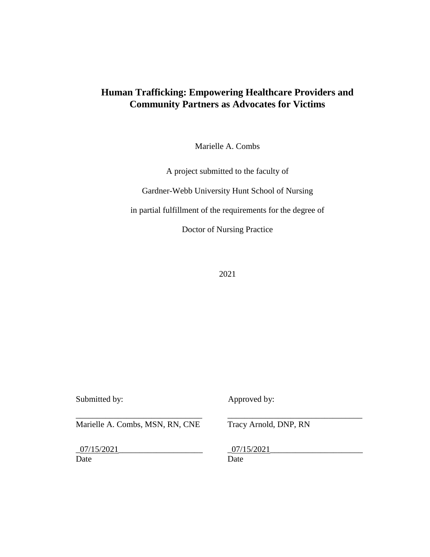## **Human Trafficking: Empowering Healthcare Providers and Community Partners as Advocates for Victims**

Marielle A. Combs

A project submitted to the faculty of

Gardner-Webb University Hunt School of Nursing

in partial fulfillment of the requirements for the degree of

Doctor of Nursing Practice

2021

Submitted by: Approved by:

Marielle A. Combs, MSN, RN, CNE Tracy Arnold, DNP, RN

 $\_07/15/2021$   $\_07/15/2021$ Date Date Date

\_\_\_\_\_\_\_\_\_\_\_\_\_\_\_\_\_\_\_\_\_\_\_\_\_\_\_\_\_\_ \_\_\_\_\_\_\_\_\_\_\_\_\_\_\_\_\_\_\_\_\_\_\_\_\_\_\_\_\_\_\_\_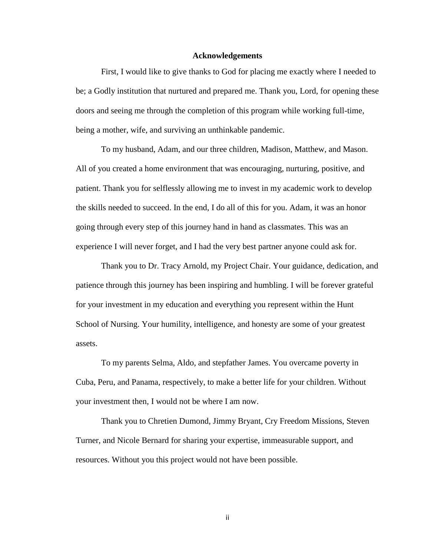#### **Acknowledgements**

First, I would like to give thanks to God for placing me exactly where I needed to be; a Godly institution that nurtured and prepared me. Thank you, Lord, for opening these doors and seeing me through the completion of this program while working full-time, being a mother, wife, and surviving an unthinkable pandemic.

To my husband, Adam, and our three children, Madison, Matthew, and Mason. All of you created a home environment that was encouraging, nurturing, positive, and patient. Thank you for selflessly allowing me to invest in my academic work to develop the skills needed to succeed. In the end, I do all of this for you. Adam, it was an honor going through every step of this journey hand in hand as classmates. This was an experience I will never forget, and I had the very best partner anyone could ask for.

Thank you to Dr. Tracy Arnold, my Project Chair. Your guidance, dedication, and patience through this journey has been inspiring and humbling. I will be forever grateful for your investment in my education and everything you represent within the Hunt School of Nursing. Your humility, intelligence, and honesty are some of your greatest assets.

To my parents Selma, Aldo, and stepfather James. You overcame poverty in Cuba, Peru, and Panama, respectively, to make a better life for your children. Without your investment then, I would not be where I am now.

Thank you to Chretien Dumond, Jimmy Bryant, Cry Freedom Missions, Steven Turner, and Nicole Bernard for sharing your expertise, immeasurable support, and resources. Without you this project would not have been possible.

ii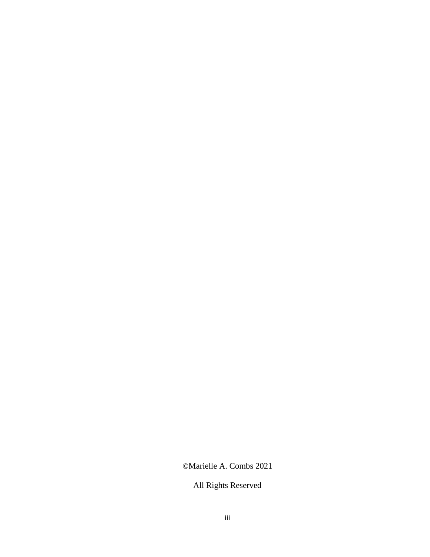## ©Marielle A. Combs 2021

# All Rights Reserved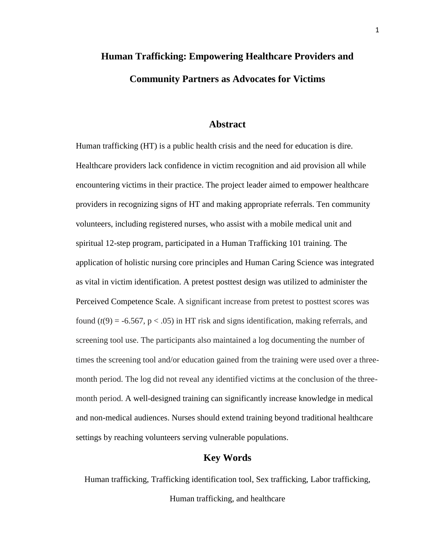# **Human Trafficking: Empowering Healthcare Providers and Community Partners as Advocates for Victims**

### **Abstract**

Human trafficking (HT) is a public health crisis and the need for education is dire. Healthcare providers lack confidence in victim recognition and aid provision all while encountering victims in their practice. The project leader aimed to empower healthcare providers in recognizing signs of HT and making appropriate referrals. Ten community volunteers, including registered nurses, who assist with a mobile medical unit and spiritual 12-step program, participated in a Human Trafficking 101 training. The application of holistic nursing core principles and Human Caring Science was integrated as vital in victim identification. A pretest posttest design was utilized to administer the Perceived Competence Scale. A significant increase from pretest to posttest scores was found  $(t(9) = -6.567, p < .05)$  in HT risk and signs identification, making referrals, and screening tool use. The participants also maintained a log documenting the number of times the screening tool and/or education gained from the training were used over a threemonth period. The log did not reveal any identified victims at the conclusion of the threemonth period. A well-designed training can significantly increase knowledge in medical and non-medical audiences. Nurses should extend training beyond traditional healthcare settings by reaching volunteers serving vulnerable populations.

### **Key Words**

Human trafficking, Trafficking identification tool, Sex trafficking, Labor trafficking,

Human trafficking, and healthcare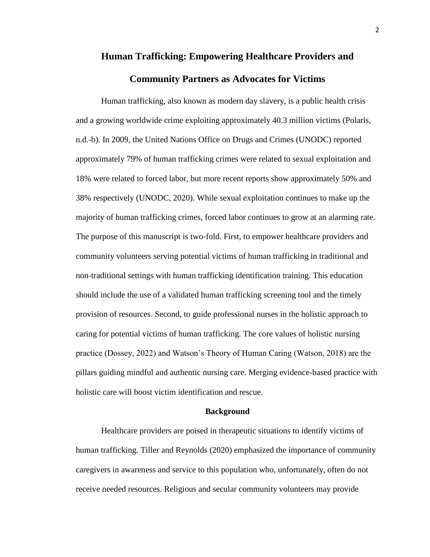# **Human Trafficking: Empowering Healthcare Providers and**

## **Community Partners as Advocates for Victims**

Human trafficking, also known as modern day slavery, is a public health crisis and a growing worldwide crime exploiting approximately 40.3 million victims (Polaris, n.d.-b). In 2009, the United Nations Office on Drugs and Crimes (UNODC) reported approximately 79% of human trafficking crimes were related to sexual exploitation and 18% were related to forced labor, but more recent reports show approximately 50% and 38% respectively (UNODC, 2020). While sexual exploitation continues to make up the majority of human trafficking crimes, forced labor continues to grow at an alarming rate. The purpose of this manuscript is two-fold. First, to empower healthcare providers and community volunteers serving potential victims of human trafficking in traditional and non-traditional settings with human trafficking identification training. This education should include the use of a validated human trafficking screening tool and the timely provision of resources. Second, to guide professional nurses in the holistic approach to caring for potential victims of human trafficking. The core values of holistic nursing practice (Dossey, 2022) and Watson's Theory of Human Caring (Watson, 2018) are the pillars guiding mindful and authentic nursing care. Merging evidence-based practice with holistic care will boost victim identification and rescue.

#### **Background**

Healthcare providers are poised in therapeutic situations to identify victims of human trafficking. Tiller and Reynolds (2020) emphasized the importance of community caregivers in awareness and service to this population who, unfortunately, often do not receive needed resources. Religious and secular community volunteers may provide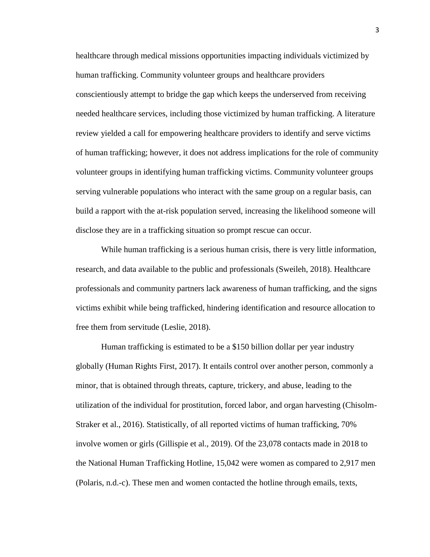healthcare through medical missions opportunities impacting individuals victimized by human trafficking. Community volunteer groups and healthcare providers conscientiously attempt to bridge the gap which keeps the underserved from receiving needed healthcare services, including those victimized by human trafficking. A literature review yielded a call for empowering healthcare providers to identify and serve victims of human trafficking; however, it does not address implications for the role of community volunteer groups in identifying human trafficking victims. Community volunteer groups serving vulnerable populations who interact with the same group on a regular basis, can build a rapport with the at-risk population served, increasing the likelihood someone will disclose they are in a trafficking situation so prompt rescue can occur.

While human trafficking is a serious human crisis, there is very little information, research, and data available to the public and professionals (Sweileh, 2018). Healthcare professionals and community partners lack awareness of human trafficking, and the signs victims exhibit while being trafficked, hindering identification and resource allocation to free them from servitude (Leslie, 2018).

Human trafficking is estimated to be a \$150 billion dollar per year industry globally (Human Rights First, 2017). It entails control over another person, commonly a minor, that is obtained through threats, capture, trickery, and abuse, leading to the utilization of the individual for prostitution, forced labor, and organ harvesting (Chisolm-Straker et al., 2016). Statistically, of all reported victims of human trafficking, 70% involve women or girls (Gillispie et al., 2019). Of the 23,078 contacts made in 2018 to the National Human Trafficking Hotline, 15,042 were women as compared to 2,917 men (Polaris, n.d.-c). These men and women contacted the hotline through emails, texts,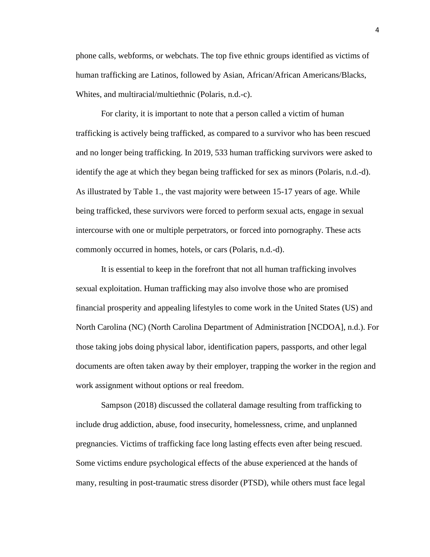phone calls, webforms, or webchats. The top five ethnic groups identified as victims of human trafficking are Latinos, followed by Asian, African/African Americans/Blacks, Whites, and multiracial/multiethnic (Polaris, n.d.-c).

For clarity, it is important to note that a person called a victim of human trafficking is actively being trafficked, as compared to a survivor who has been rescued and no longer being trafficking. In 2019, 533 human trafficking survivors were asked to identify the age at which they began being trafficked for sex as minors (Polaris, n.d.-d). As illustrated by Table 1., the vast majority were between 15-17 years of age. While being trafficked, these survivors were forced to perform sexual acts, engage in sexual intercourse with one or multiple perpetrators, or forced into pornography. These acts commonly occurred in homes, hotels, or cars (Polaris, n.d.-d).

It is essential to keep in the forefront that not all human trafficking involves sexual exploitation. Human trafficking may also involve those who are promised financial prosperity and appealing lifestyles to come work in the United States (US) and North Carolina (NC) (North Carolina Department of Administration [NCDOA], n.d.). For those taking jobs doing physical labor, identification papers, passports, and other legal documents are often taken away by their employer, trapping the worker in the region and work assignment without options or real freedom.

Sampson (2018) discussed the collateral damage resulting from trafficking to include drug addiction, abuse, food insecurity, homelessness, crime, and unplanned pregnancies. Victims of trafficking face long lasting effects even after being rescued. Some victims endure psychological effects of the abuse experienced at the hands of many, resulting in post-traumatic stress disorder (PTSD), while others must face legal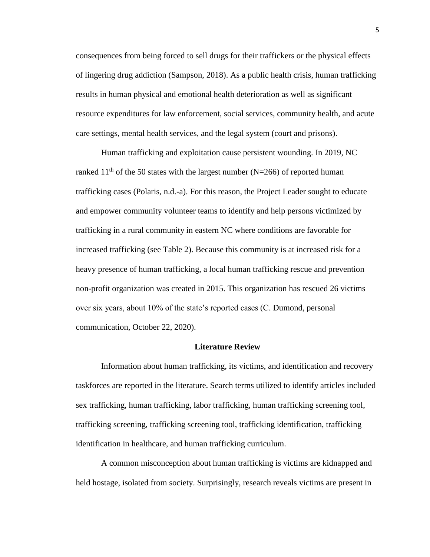consequences from being forced to sell drugs for their traffickers or the physical effects of lingering drug addiction (Sampson, 2018). As a public health crisis, human trafficking results in human physical and emotional health deterioration as well as significant resource expenditures for law enforcement, social services, community health, and acute care settings, mental health services, and the legal system (court and prisons).

Human trafficking and exploitation cause persistent wounding. In 2019, NC ranked 11<sup>th</sup> of the 50 states with the largest number (N=266) of reported human trafficking cases (Polaris, n.d.-a). For this reason, the Project Leader sought to educate and empower community volunteer teams to identify and help persons victimized by trafficking in a rural community in eastern NC where conditions are favorable for increased trafficking (see Table 2). Because this community is at increased risk for a heavy presence of human trafficking, a local human trafficking rescue and prevention non-profit organization was created in 2015. This organization has rescued 26 victims over six years, about 10% of the state's reported cases (C. Dumond, personal communication, October 22, 2020).

#### **Literature Review**

Information about human trafficking, its victims, and identification and recovery taskforces are reported in the literature. Search terms utilized to identify articles included sex trafficking, human trafficking, labor trafficking, human trafficking screening tool, trafficking screening, trafficking screening tool, trafficking identification, trafficking identification in healthcare, and human trafficking curriculum.

A common misconception about human trafficking is victims are kidnapped and held hostage, isolated from society. Surprisingly, research reveals victims are present in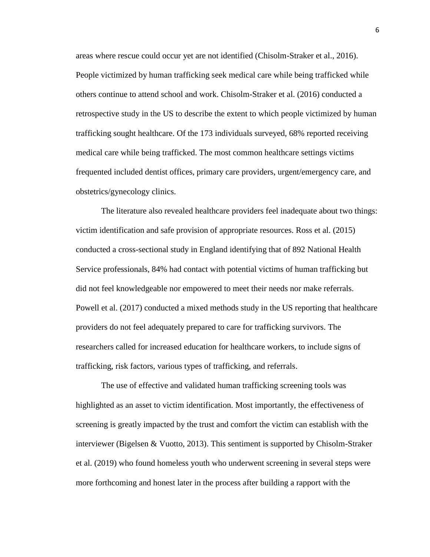areas where rescue could occur yet are not identified (Chisolm-Straker et al., 2016). People victimized by human trafficking seek medical care while being trafficked while others continue to attend school and work. Chisolm-Straker et al. (2016) conducted a retrospective study in the US to describe the extent to which people victimized by human trafficking sought healthcare. Of the 173 individuals surveyed, 68% reported receiving medical care while being trafficked. The most common healthcare settings victims frequented included dentist offices, primary care providers, urgent/emergency care, and obstetrics/gynecology clinics.

The literature also revealed healthcare providers feel inadequate about two things: victim identification and safe provision of appropriate resources. Ross et al. (2015) conducted a cross-sectional study in England identifying that of 892 National Health Service professionals, 84% had contact with potential victims of human trafficking but did not feel knowledgeable nor empowered to meet their needs nor make referrals. Powell et al. (2017) conducted a mixed methods study in the US reporting that healthcare providers do not feel adequately prepared to care for trafficking survivors. The researchers called for increased education for healthcare workers, to include signs of trafficking, risk factors, various types of trafficking, and referrals.

The use of effective and validated human trafficking screening tools was highlighted as an asset to victim identification. Most importantly, the effectiveness of screening is greatly impacted by the trust and comfort the victim can establish with the interviewer (Bigelsen & Vuotto, 2013). This sentiment is supported by Chisolm-Straker et al. (2019) who found homeless youth who underwent screening in several steps were more forthcoming and honest later in the process after building a rapport with the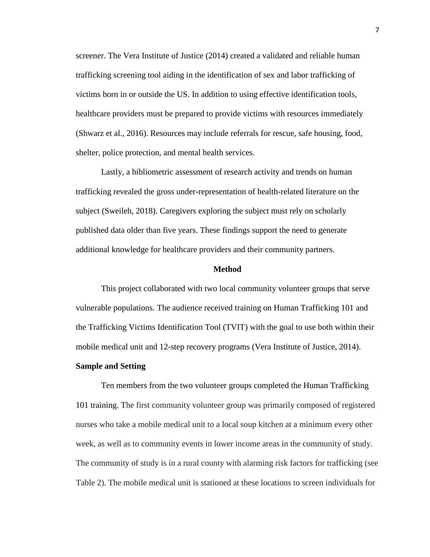screener. The Vera Institute of Justice (2014) created a validated and reliable human trafficking screening tool aiding in the identification of sex and labor trafficking of victims born in or outside the US. In addition to using effective identification tools, healthcare providers must be prepared to provide victims with resources immediately (Shwarz et al., 2016). Resources may include referrals for rescue, safe housing, food, shelter, police protection, and mental health services.

Lastly, a bibliometric assessment of research activity and trends on human trafficking revealed the gross under-representation of health-related literature on the subject (Sweileh, 2018). Caregivers exploring the subject must rely on scholarly published data older than five years. These findings support the need to generate additional knowledge for healthcare providers and their community partners.

#### **Method**

This project collaborated with two local community volunteer groups that serve vulnerable populations. The audience received training on Human Trafficking 101 and the Trafficking Victims Identification Tool (TVIT) with the goal to use both within their mobile medical unit and 12-step recovery programs (Vera Institute of Justice, 2014).

#### **Sample and Setting**

Ten members from the two volunteer groups completed the Human Trafficking 101 training. The first community volunteer group was primarily composed of registered nurses who take a mobile medical unit to a local soup kitchen at a minimum every other week, as well as to community events in lower income areas in the community of study. The community of study is in a rural county with alarming risk factors for trafficking (see Table 2). The mobile medical unit is stationed at these locations to screen individuals for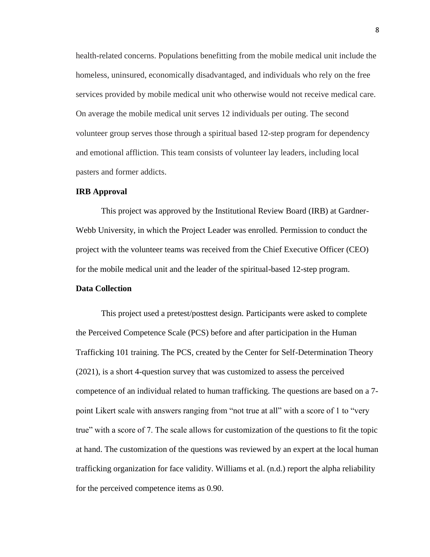health-related concerns. Populations benefitting from the mobile medical unit include the homeless, uninsured, economically disadvantaged, and individuals who rely on the free services provided by mobile medical unit who otherwise would not receive medical care. On average the mobile medical unit serves 12 individuals per outing. The second volunteer group serves those through a spiritual based 12-step program for dependency and emotional affliction. This team consists of volunteer lay leaders, including local pasters and former addicts.

#### **IRB Approval**

This project was approved by the Institutional Review Board (IRB) at Gardner-Webb University, in which the Project Leader was enrolled. Permission to conduct the project with the volunteer teams was received from the Chief Executive Officer (CEO) for the mobile medical unit and the leader of the spiritual-based 12-step program.

#### **Data Collection**

This project used a pretest/posttest design. Participants were asked to complete the Perceived Competence Scale (PCS) before and after participation in the Human Trafficking 101 training. The PCS, created by the Center for Self-Determination Theory (2021), is a short 4-question survey that was customized to assess the perceived competence of an individual related to human trafficking. The questions are based on a 7 point Likert scale with answers ranging from "not true at all" with a score of 1 to "very true" with a score of 7. The scale allows for customization of the questions to fit the topic at hand. The customization of the questions was reviewed by an expert at the local human trafficking organization for face validity. Williams et al. (n.d.) report the alpha reliability for the perceived competence items as 0.90.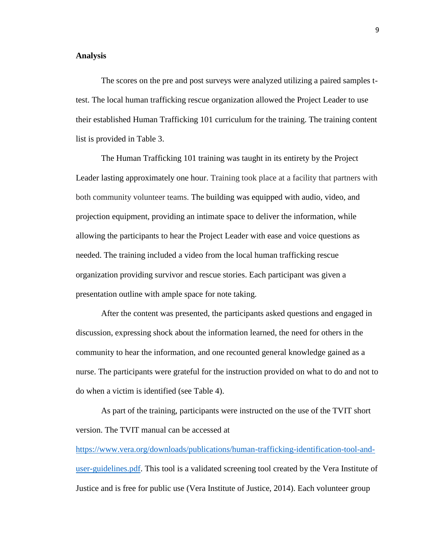#### **Analysis**

The scores on the pre and post surveys were analyzed utilizing a paired samples ttest. The local human trafficking rescue organization allowed the Project Leader to use their established Human Trafficking 101 curriculum for the training. The training content list is provided in Table 3.

The Human Trafficking 101 training was taught in its entirety by the Project Leader lasting approximately one hour. Training took place at a facility that partners with both community volunteer teams. The building was equipped with audio, video, and projection equipment, providing an intimate space to deliver the information, while allowing the participants to hear the Project Leader with ease and voice questions as needed. The training included a video from the local human trafficking rescue organization providing survivor and rescue stories. Each participant was given a presentation outline with ample space for note taking.

After the content was presented, the participants asked questions and engaged in discussion, expressing shock about the information learned, the need for others in the community to hear the information, and one recounted general knowledge gained as a nurse. The participants were grateful for the instruction provided on what to do and not to do when a victim is identified (see Table 4).

As part of the training, participants were instructed on the use of the TVIT short version. The TVIT manual can be accessed at

[https://www.vera.org/downloads/publications/human-trafficking-identification-tool-and](https://www.vera.org/downloads/publications/human-trafficking-identification-tool-and-user-guidelines.pdf)[user-guidelines.pdf.](https://www.vera.org/downloads/publications/human-trafficking-identification-tool-and-user-guidelines.pdf) This tool is a validated screening tool created by the Vera Institute of Justice and is free for public use (Vera Institute of Justice, 2014). Each volunteer group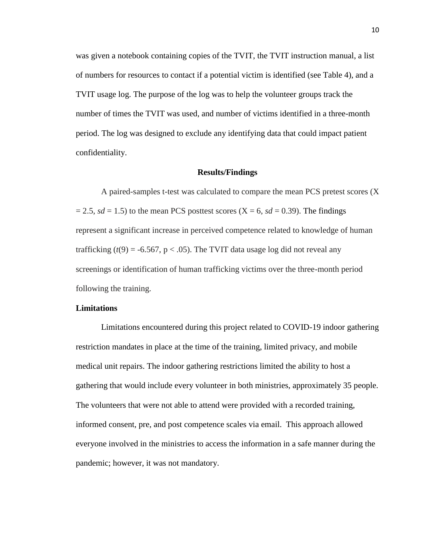was given a notebook containing copies of the TVIT, the TVIT instruction manual, a list of numbers for resources to contact if a potential victim is identified (see Table 4), and a TVIT usage log. The purpose of the log was to help the volunteer groups track the number of times the TVIT was used, and number of victims identified in a three-month period. The log was designed to exclude any identifying data that could impact patient confidentiality.

#### **Results/Findings**

A paired-samples t-test was calculated to compare the mean PCS pretest scores (X  $= 2.5$ , *sd* = 1.5) to the mean PCS posttest scores (X = 6, *sd* = 0.39). The findings represent a significant increase in perceived competence related to knowledge of human trafficking  $(t(9) = -6.567, p < .05)$ . The TVIT data usage log did not reveal any screenings or identification of human trafficking victims over the three-month period following the training.

#### **Limitations**

Limitations encountered during this project related to COVID-19 indoor gathering restriction mandates in place at the time of the training, limited privacy, and mobile medical unit repairs. The indoor gathering restrictions limited the ability to host a gathering that would include every volunteer in both ministries, approximately 35 people. The volunteers that were not able to attend were provided with a recorded training, informed consent, pre, and post competence scales via email. This approach allowed everyone involved in the ministries to access the information in a safe manner during the pandemic; however, it was not mandatory.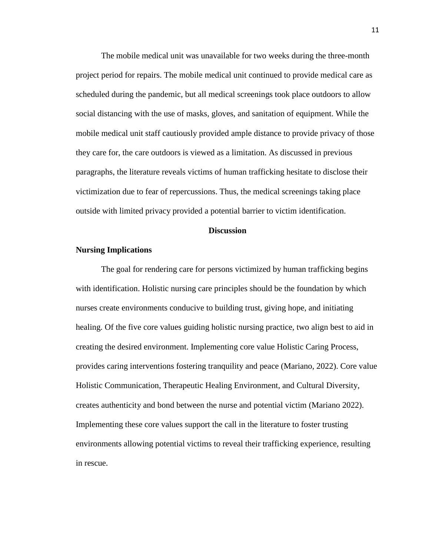The mobile medical unit was unavailable for two weeks during the three-month project period for repairs. The mobile medical unit continued to provide medical care as scheduled during the pandemic, but all medical screenings took place outdoors to allow social distancing with the use of masks, gloves, and sanitation of equipment. While the mobile medical unit staff cautiously provided ample distance to provide privacy of those they care for, the care outdoors is viewed as a limitation. As discussed in previous paragraphs, the literature reveals victims of human trafficking hesitate to disclose their victimization due to fear of repercussions. Thus, the medical screenings taking place outside with limited privacy provided a potential barrier to victim identification.

#### **Discussion**

#### **Nursing Implications**

The goal for rendering care for persons victimized by human trafficking begins with identification. Holistic nursing care principles should be the foundation by which nurses create environments conducive to building trust, giving hope, and initiating healing. Of the five core values guiding holistic nursing practice, two align best to aid in creating the desired environment. Implementing core value Holistic Caring Process, provides caring interventions fostering tranquility and peace (Mariano, 2022). Core value Holistic Communication, Therapeutic Healing Environment, and Cultural Diversity, creates authenticity and bond between the nurse and potential victim (Mariano 2022). Implementing these core values support the call in the literature to foster trusting environments allowing potential victims to reveal their trafficking experience, resulting in rescue.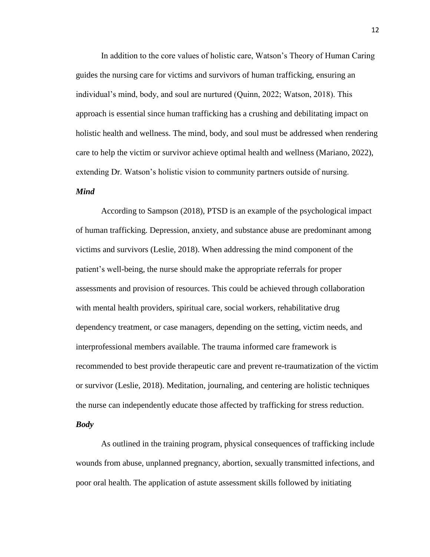In addition to the core values of holistic care, Watson's Theory of Human Caring guides the nursing care for victims and survivors of human trafficking, ensuring an individual's mind, body, and soul are nurtured (Quinn, 2022; Watson, 2018). This approach is essential since human trafficking has a crushing and debilitating impact on holistic health and wellness. The mind, body, and soul must be addressed when rendering care to help the victim or survivor achieve optimal health and wellness (Mariano, 2022), extending Dr. Watson's holistic vision to community partners outside of nursing.

#### *Mind*

According to Sampson (2018), PTSD is an example of the psychological impact of human trafficking. Depression, anxiety, and substance abuse are predominant among victims and survivors (Leslie, 2018). When addressing the mind component of the patient's well-being, the nurse should make the appropriate referrals for proper assessments and provision of resources. This could be achieved through collaboration with mental health providers, spiritual care, social workers, rehabilitative drug dependency treatment, or case managers, depending on the setting, victim needs, and interprofessional members available. The trauma informed care framework is recommended to best provide therapeutic care and prevent re-traumatization of the victim or survivor (Leslie, 2018). Meditation, journaling, and centering are holistic techniques the nurse can independently educate those affected by trafficking for stress reduction. *Body*

As outlined in the training program, physical consequences of trafficking include wounds from abuse, unplanned pregnancy, abortion, sexually transmitted infections, and poor oral health. The application of astute assessment skills followed by initiating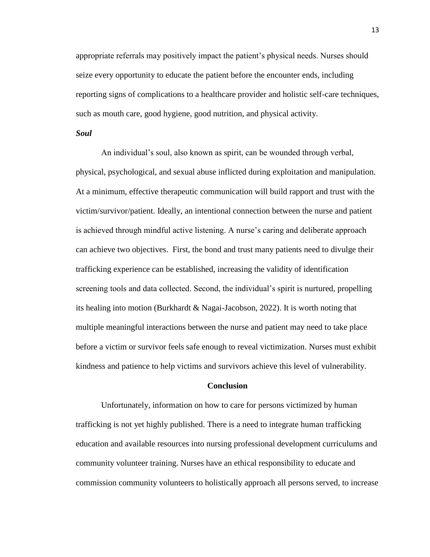appropriate referrals may positively impact the patient's physical needs. Nurses should seize every opportunity to educate the patient before the encounter ends, including reporting signs of complications to a healthcare provider and holistic self-care techniques, such as mouth care, good hygiene, good nutrition, and physical activity.

#### *Soul*

An individual's soul, also known as spirit, can be wounded through verbal, physical, psychological, and sexual abuse inflicted during exploitation and manipulation. At a minimum, effective therapeutic communication will build rapport and trust with the victim/survivor/patient. Ideally, an intentional connection between the nurse and patient is achieved through mindful active listening. A nurse's caring and deliberate approach can achieve two objectives. First, the bond and trust many patients need to divulge their trafficking experience can be established, increasing the validity of identification screening tools and data collected. Second, the individual's spirit is nurtured, propelling its healing into motion (Burkhardt & Nagai-Jacobson, 2022). It is worth noting that multiple meaningful interactions between the nurse and patient may need to take place before a victim or survivor feels safe enough to reveal victimization. Nurses must exhibit kindness and patience to help victims and survivors achieve this level of vulnerability.

#### **Conclusion**

Unfortunately, information on how to care for persons victimized by human trafficking is not yet highly published. There is a need to integrate human trafficking education and available resources into nursing professional development curriculums and community volunteer training. Nurses have an ethical responsibility to educate and commission community volunteers to holistically approach all persons served, to increase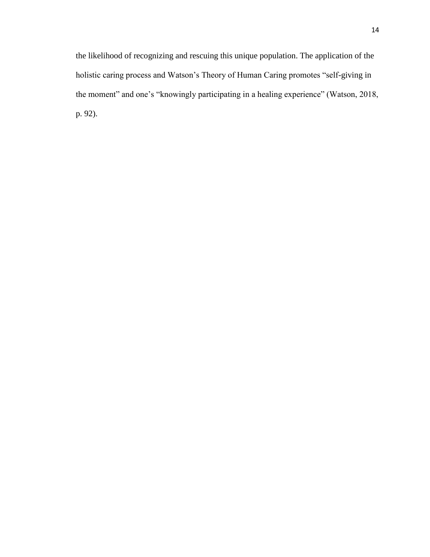the likelihood of recognizing and rescuing this unique population. The application of the holistic caring process and Watson's Theory of Human Caring promotes "self-giving in the moment" and one's "knowingly participating in a healing experience" (Watson, 2018, p. 92).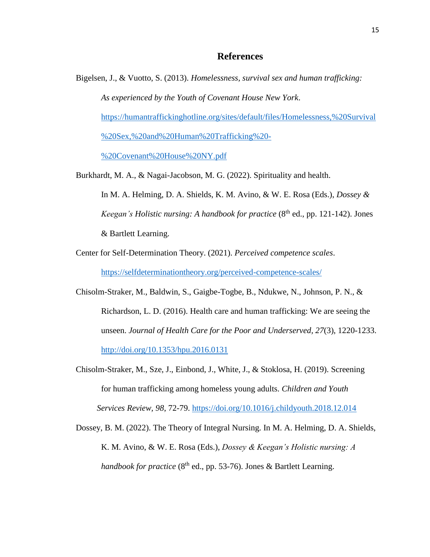#### **References**

- Bigelsen, J., & Vuotto, S. (2013). *Homelessness, survival sex and human trafficking: As experienced by the Youth of Covenant House New York*. [https://humantraffickinghotline.org/sites/default/files/Homelessness,%20Survival](https://humantraffickinghotline.org/sites/default/files/Homelessness,%20Survival%20Sex,%20and%20Human%20Trafficking%20-%20Covenant%20House%20NY.pdf) [%20Sex,%20and%20Human%20Trafficking%20-](https://humantraffickinghotline.org/sites/default/files/Homelessness,%20Survival%20Sex,%20and%20Human%20Trafficking%20-%20Covenant%20House%20NY.pdf) [%20Covenant%20House%20NY.pdf](https://humantraffickinghotline.org/sites/default/files/Homelessness,%20Survival%20Sex,%20and%20Human%20Trafficking%20-%20Covenant%20House%20NY.pdf)
- Burkhardt, M. A., & Nagai-Jacobson, M. G. (2022). Spirituality and health. In M. A. Helming, D. A. Shields, K. M. Avino, & W. E. Rosa (Eds.), *Dossey & Keegan's Holistic nursing: A handbook for practice* (8<sup>th</sup> ed., pp. 121-142). Jones & Bartlett Learning.
- Center for Self-Determination Theory. (2021). *Perceived competence scales*. <https://selfdeterminationtheory.org/perceived-competence-scales/>
- Chisolm-Straker, M., Baldwin, S., Gaigbe-Togbe, B., Ndukwe, N., Johnson, P. N., & Richardson, L. D. (2016). Health care and human trafficking: We are seeing the unseen. *Journal of Health Care for the Poor and Underserved, 27*(3), 1220-1233. <http://doi.org/10.1353/hpu.2016.0131>
- Chisolm-Straker, M., Sze, J., Einbond, J., White, J., & Stoklosa, H. (2019). Screening for human trafficking among homeless young adults. *Children and Youth Services Review, 98*, 72-79.<https://doi.org/10.1016/j.childyouth.2018.12.014>
- Dossey, B. M. (2022). The Theory of Integral Nursing. In M. A. Helming, D. A. Shields, K. M. Avino, & W. E. Rosa (Eds.), *Dossey & Keegan's Holistic nursing: A handbook for practice* (8<sup>th</sup> ed., pp. 53-76). Jones & Bartlett Learning.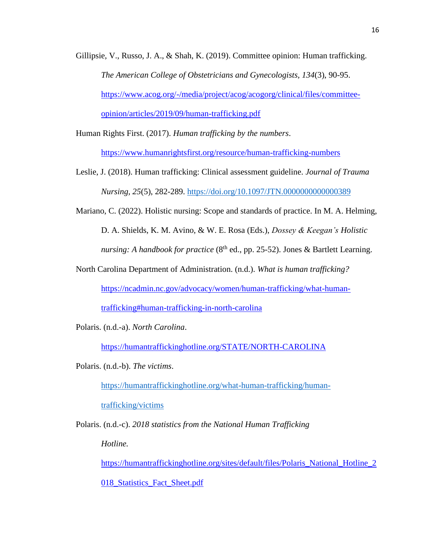Gillipsie, V., Russo, J. A., & Shah, K. (2019). Committee opinion: Human trafficking. *The American College of Obstetricians and Gynecologists, 134*(3), 90-95. [https://www.acog.org/-/media/project/acog/acogorg/clinical/files/committee](https://www.acog.org/-/media/project/acog/acogorg/clinical/files/committee-opinion/articles/2019/09/human-trafficking.pdf)[opinion/articles/2019/09/human-trafficking.pdf](https://www.acog.org/-/media/project/acog/acogorg/clinical/files/committee-opinion/articles/2019/09/human-trafficking.pdf)

Human Rights First. (2017). *Human trafficking by the numbers*.

<https://www.humanrightsfirst.org/resource/human-trafficking-numbers>

- Leslie, J. (2018). Human trafficking: Clinical assessment guideline. *Journal of Trauma Nursing, 25*(5), 282-289.<https://doi.org/10.1097/JTN.0000000000000389>
- Mariano, C. (2022). Holistic nursing: Scope and standards of practice. In M. A. Helming, D. A. Shields, K. M. Avino, & W. E. Rosa (Eds.), *Dossey & Keegan's Holistic nursing: A handbook for practice* (8<sup>th</sup> ed., pp. 25-52). Jones & Bartlett Learning.

North Carolina Department of Administration. (n.d.). *What is human trafficking?*

[https://ncadmin.nc.gov/advocacy/women/human-trafficking/what-human-](https://ncadmin.nc.gov/advocacy/women/human-trafficking/what-human-trafficking#human-trafficking-in-north-carolina)

[trafficking#human-trafficking-in-north-carolina](https://ncadmin.nc.gov/advocacy/women/human-trafficking/what-human-trafficking#human-trafficking-in-north-carolina) 

Polaris. (n.d.-a). *North Carolina*.

<https://humantraffickinghotline.org/STATE/NORTH-CAROLINA>

Polaris. (n.d.-b). *The victims*.

[https://humantraffickinghotline.org/what-human-trafficking/human-](https://humantraffickinghotline.org/what-human-trafficking/human-trafficking/victims)

[trafficking/victims](https://humantraffickinghotline.org/what-human-trafficking/human-trafficking/victims)

Polaris. (n.d.-c). *2018 statistics from the National Human Trafficking*

*Hotline.*

[https://humantraffickinghotline.org/sites/default/files/Polaris\\_National\\_Hotline\\_2](https://humantraffickinghotline.org/sites/default/files/Polaris_National_Hotline_2018_Statistics_Fact_Sheet.pdf)

[018\\_Statistics\\_Fact\\_Sheet.pdf](https://humantraffickinghotline.org/sites/default/files/Polaris_National_Hotline_2018_Statistics_Fact_Sheet.pdf)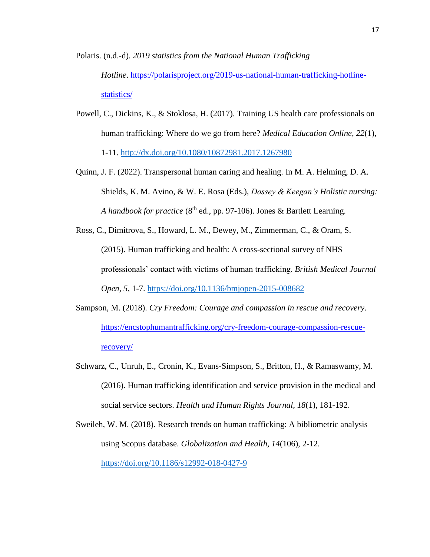Polaris. (n.d.-d). *2019 statistics from the National Human Trafficking Hotline*. [https://polarisproject.org/2019-us-national-human-trafficking-hotline](https://polarisproject.org/2019-us-national-human-trafficking-hotline-statistics/)[statistics/](https://polarisproject.org/2019-us-national-human-trafficking-hotline-statistics/)

- Powell, C., Dickins, K., & Stoklosa, H. (2017). Training US health care professionals on human trafficking: Where do we go from here? *Medical Education Online, 22*(1), 1-11.<http://dx.doi.org/10.1080/10872981.2017.1267980>
- Quinn, J. F. (2022). Transpersonal human caring and healing. In M. A. Helming, D. A. Shields, K. M. Avino, & W. E. Rosa (Eds.), *Dossey & Keegan's Holistic nursing: A handbook for practice* (8<sup>th</sup> ed., pp. 97-106). Jones & Bartlett Learning.
- Ross, C., Dimitrova, S., Howard, L. M., Dewey, M., Zimmerman, C., & Oram, S. (2015). Human trafficking and health: A cross-sectional survey of NHS professionals' contact with victims of human trafficking. *British Medical Journal Open, 5*, 1-7.<https://doi.org/10.1136/bmjopen-2015-008682>
- Sampson, M. (2018). *Cry Freedom: Courage and compassion in rescue and recovery*. [https://encstophumantrafficking.org/cry-freedom-courage-compassion-rescue](https://encstophumantrafficking.org/cry-freedom-courage-compassion-rescue-recovery/)[recovery/](https://encstophumantrafficking.org/cry-freedom-courage-compassion-rescue-recovery/)
- Schwarz, C., Unruh, E., Cronin, K., Evans-Simpson, S., Britton, H., & Ramaswamy, M. (2016). Human trafficking identification and service provision in the medical and social service sectors. *Health and Human Rights Journal, 18*(1), 181-192.

Sweileh, W. M. (2018). Research trends on human trafficking: A bibliometric analysis using Scopus database. *Globalization and Health, 14*(106), 2-12. <https://doi.org/10.1186/s12992-018-0427-9>